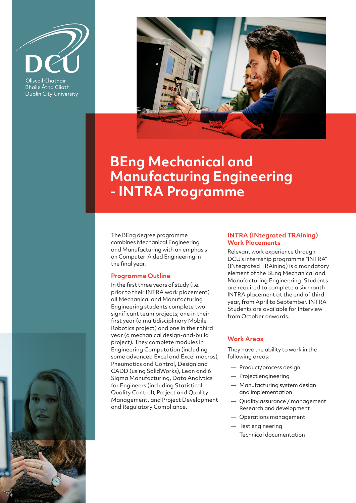

Ollscoil Chathair **Bhaile Átha Cliath Dublin City University** 



# **BEng Mechanical and Manufacturing Engineering - INTRA Programme**

The BEng degree programme combines Mechanical Engineering and Manufacturing with an emphasis on Computer-Aided Engineering in the final year.

#### **Programme Outline**

In the first three years of study (i.e. prior to their INTRA work placement) all Mechanical and Manufacturing Engineering students complete two significant team projects; one in their first year (a multidisciplinary Mobile Robotics project) and one in their third year (a mechanical design-and-build project). They complete modules in Engineering Computation (including some advanced Excel and Excel macros), Pneumatics and Control, Design and CADD (using SolidWorks), Lean and 6 Sigma Manufacturing, Data Analytics for Engineers (including Statistical Quality Control), Project and Quality Management, and Project Development and Regulatory Compliance.

#### **INTRA (INtegrated TRAining) Work Placements**

Relevant work experience through DCU's internship programme "INTRA" (INtegrated TRAining) is a mandatory element of the BEng Mechanical and Manufacturing Engineering. Students are required to complete a six month INTRA placement at the end of third year, from April to September. INTRA Students are available for Interview from October onwards.

### **Work Areas**

They have the ability to work in the following areas:

- Product/process design
- Project engineering
- Manufacturing system design and implementation
- Quality assurance / management Research and development
- Operations management
- Test engineering
- Technical documentation